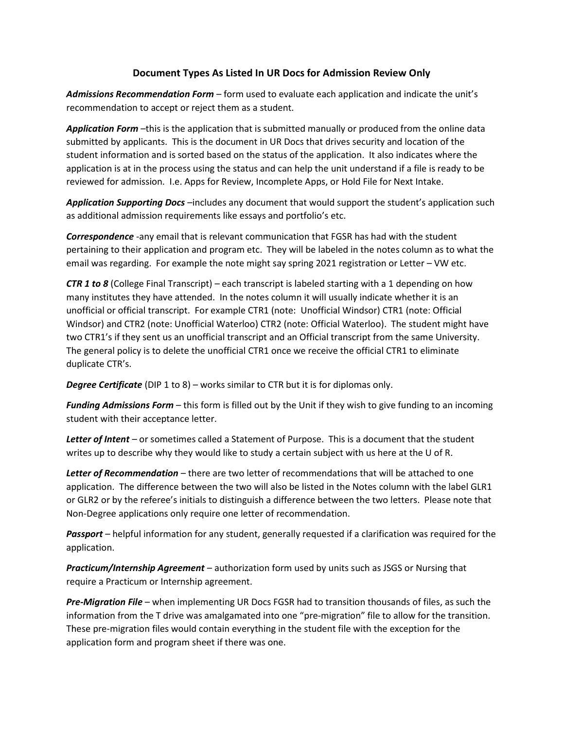## Document Types As Listed In UR Docs for Admission Review Only

Admissions Recommendation Form – form used to evaluate each application and indicate the unit's recommendation to accept or reject them as a student.

Application Form –this is the application that is submitted manually or produced from the online data submitted by applicants. This is the document in UR Docs that drives security and location of the student information and is sorted based on the status of the application. It also indicates where the application is at in the process using the status and can help the unit understand if a file is ready to be reviewed for admission. I.e. Apps for Review, Incomplete Apps, or Hold File for Next Intake.

Application Supporting Docs -includes any document that would support the student's application such as additional admission requirements like essays and portfolio's etc.

Correspondence -any email that is relevant communication that FGSR has had with the student pertaining to their application and program etc. They will be labeled in the notes column as to what the email was regarding. For example the note might say spring 2021 registration or Letter – VW etc.

**CTR 1 to 8** (College Final Transcript) – each transcript is labeled starting with a 1 depending on how many institutes they have attended. In the notes column it will usually indicate whether it is an unofficial or official transcript. For example CTR1 (note: Unofficial Windsor) CTR1 (note: Official Windsor) and CTR2 (note: Unofficial Waterloo) CTR2 (note: Official Waterloo). The student might have two CTR1's if they sent us an unofficial transcript and an Official transcript from the same University. The general policy is to delete the unofficial CTR1 once we receive the official CTR1 to eliminate duplicate CTR's.

**Degree Certificate** (DIP 1 to 8) – works similar to CTR but it is for diplomas only.

**Funding Admissions Form** – this form is filled out by the Unit if they wish to give funding to an incoming student with their acceptance letter.

Letter of Intent – or sometimes called a Statement of Purpose. This is a document that the student writes up to describe why they would like to study a certain subject with us here at the U of R.

Letter of Recommendation – there are two letter of recommendations that will be attached to one application. The difference between the two will also be listed in the Notes column with the label GLR1 or GLR2 or by the referee's initials to distinguish a difference between the two letters. Please note that Non-Degree applications only require one letter of recommendation.

**Passport** – helpful information for any student, generally requested if a clarification was required for the application.

**Practicum/Internship Agreement** – authorization form used by units such as JSGS or Nursing that require a Practicum or Internship agreement.

Pre-Migration File – when implementing UR Docs FGSR had to transition thousands of files, as such the information from the T drive was amalgamated into one "pre-migration" file to allow for the transition. These pre-migration files would contain everything in the student file with the exception for the application form and program sheet if there was one.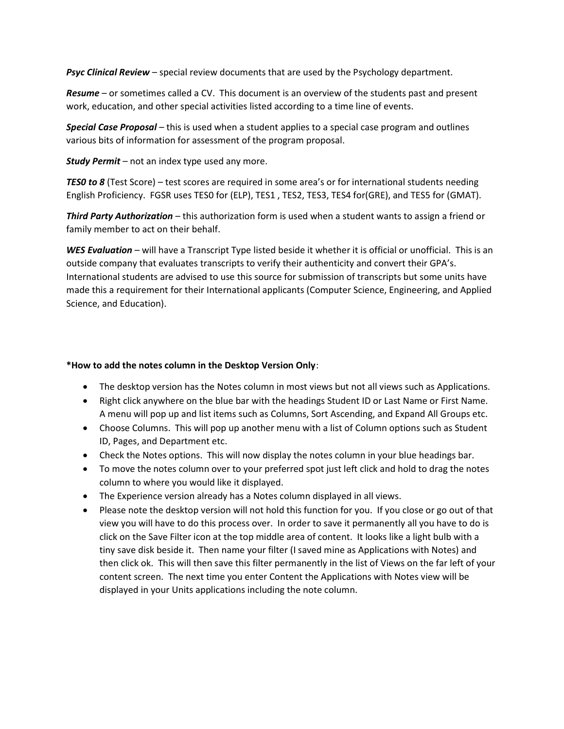**Psyc Clinical Review** – special review documents that are used by the Psychology department.

Resume – or sometimes called a CV. This document is an overview of the students past and present work, education, and other special activities listed according to a time line of events.

**Special Case Proposal** – this is used when a student applies to a special case program and outlines various bits of information for assessment of the program proposal.

**Study Permit** – not an index type used any more.

TESO to 8 (Test Score) – test scores are required in some area's or for international students needing English Proficiency. FGSR uses TES0 for (ELP), TES1 , TES2, TES3, TES4 for(GRE), and TES5 for (GMAT).

**Third Party Authorization** – this authorization form is used when a student wants to assign a friend or family member to act on their behalf.

WES Evaluation – will have a Transcript Type listed beside it whether it is official or unofficial. This is an outside company that evaluates transcripts to verify their authenticity and convert their GPA's. International students are advised to use this source for submission of transcripts but some units have made this a requirement for their International applicants (Computer Science, Engineering, and Applied Science, and Education).

## \*How to add the notes column in the Desktop Version Only:

- The desktop version has the Notes column in most views but not all views such as Applications.
- Right click anywhere on the blue bar with the headings Student ID or Last Name or First Name. A menu will pop up and list items such as Columns, Sort Ascending, and Expand All Groups etc.
- Choose Columns. This will pop up another menu with a list of Column options such as Student ID, Pages, and Department etc.
- Check the Notes options. This will now display the notes column in your blue headings bar.
- To move the notes column over to your preferred spot just left click and hold to drag the notes column to where you would like it displayed.
- The Experience version already has a Notes column displayed in all views.
- Please note the desktop version will not hold this function for you. If you close or go out of that view you will have to do this process over. In order to save it permanently all you have to do is click on the Save Filter icon at the top middle area of content. It looks like a light bulb with a tiny save disk beside it. Then name your filter (I saved mine as Applications with Notes) and then click ok. This will then save this filter permanently in the list of Views on the far left of your content screen. The next time you enter Content the Applications with Notes view will be displayed in your Units applications including the note column.